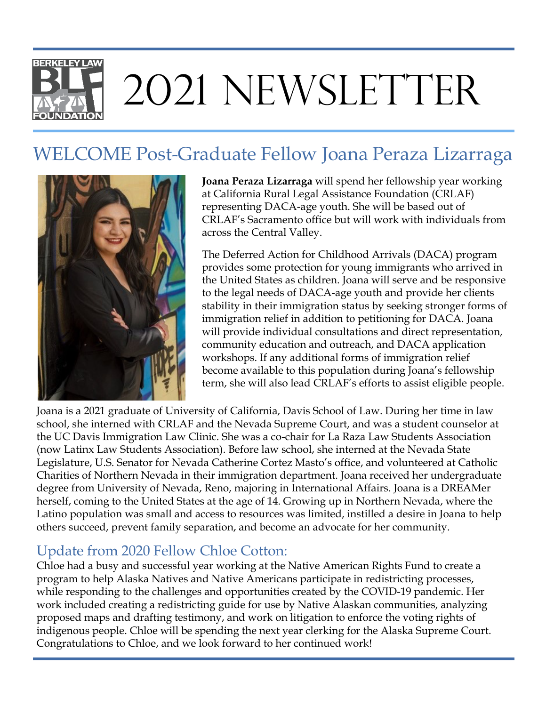## **BERKELEY LAW** 2021 NEWSLETTER

## WELCOME Post-Graduate Fellow Joana Peraza Lizarraga



**Joana Peraza Lizarraga** will spend her fellowship year working at California Rural Legal Assistance Foundation (CRLAF) representing DACA-age youth. She will be based out of CRLAF's Sacramento office but will work with individuals from across the Central Valley.

The Deferred Action for Childhood Arrivals (DACA) program provides some protection for young immigrants who arrived in the United States as children. Joana will serve and be responsive to the legal needs of DACA-age youth and provide her clients stability in their immigration status by seeking stronger forms of immigration relief in addition to petitioning for DACA. Joana will provide individual consultations and direct representation, community education and outreach, and DACA application workshops. If any additional forms of immigration relief become available to this population during Joana's fellowship term, she will also lead CRLAF's efforts to assist eligible people.

Joana is a 2021 graduate of University of California, Davis School of Law. During her time in law school, she interned with CRLAF and the Nevada Supreme Court, and was a student counselor at the UC Davis Immigration Law Clinic. She was a co-chair for La Raza Law Students Association (now Latinx Law Students Association). Before law school, she interned at the Nevada State Legislature, U.S. Senator for Nevada Catherine Cortez Masto's office, and volunteered at Catholic Charities of Northern Nevada in their immigration department. Joana received her undergraduate degree from University of Nevada, Reno, majoring in International Affairs. Joana is a DREAMer herself, coming to the United States at the age of 14. Growing up in Northern Nevada, where the Latino population was small and access to resources was limited, instilled a desire in Joana to help others succeed, prevent family separation, and become an advocate for her community.

## Update from 2020 Fellow Chloe Cotton:

Chloe had a busy and successful year working at the Native American Rights Fund to create a program to help Alaska Natives and Native Americans participate in redistricting processes, while responding to the challenges and opportunities created by the COVID-19 pandemic. Her work included creating a redistricting guide for use by Native Alaskan communities, analyzing proposed maps and drafting testimony, and work on litigation to enforce the voting rights of indigenous people. Chloe will be spending the next year clerking for the Alaska Supreme Court. Congratulations to Chloe, and we look forward to her continued work!